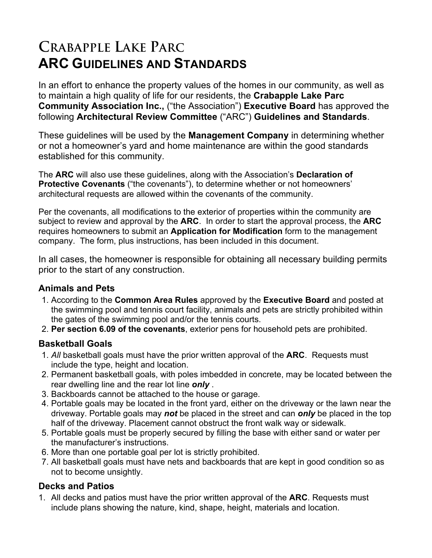# **CRABAPPLE LAKE PARC ARC GUIDELINES AND STANDARDS**

In an effort to enhance the property values of the homes in our community, as well as to maintain a high quality of life for our residents, the **Crabapple Lake Parc Community Association Inc.,** ("the Association") **Executive Board** has approved the following **Architectural Review Committee** ("ARC") **Guidelines and Standards**.

These guidelines will be used by the **Management Company** in determining whether or not a homeowner's yard and home maintenance are within the good standards established for this community.

The **ARC** will also use these guidelines, along with the Association's **Declaration of Protective Covenants** ("the covenants"), to determine whether or not homeowners' architectural requests are allowed within the covenants of the community.

Per the covenants, all modifications to the exterior of properties within the community are subject to review and approval by the **ARC**. In order to start the approval process, the **ARC** requires homeowners to submit an **Application for Modification** form to the management company. The form, plus instructions, has been included in this document.

In all cases, the homeowner is responsible for obtaining all necessary building permits prior to the start of any construction.

#### **Animals and Pets**

- 1. According to the **Common Area Rules** approved by the **Executive Board** and posted at the swimming pool and tennis court facility, animals and pets are strictly prohibited within the gates of the swimming pool and/or the tennis courts.
- 2. **Per section 6.09 of the covenants**, exterior pens for household pets are prohibited.

#### **Basketball Goals**

- 1. *All* basketball goals must have the prior written approval of the **ARC**. Requests must include the type, height and location.
- 2. Permanent basketball goals, with poles imbedded in concrete, may be located between the rear dwelling line and the rear lot line *only* .
- 3. Backboards cannot be attached to the house or garage.
- 4. Portable goals may be located in the front yard, either on the driveway or the lawn near the driveway. Portable goals may *not* be placed in the street and can *only* be placed in the top half of the driveway. Placement cannot obstruct the front walk way or sidewalk.
- 5. Portable goals must be properly secured by filling the base with either sand or water per the manufacturer's instructions.
- 6. More than one portable goal per lot is strictly prohibited.
- 7. All basketball goals must have nets and backboards that are kept in good condition so as not to become unsightly.

#### **Decks and Patios**

1. All decks and patios must have the prior written approval of the **ARC**. Requests must include plans showing the nature, kind, shape, height, materials and location.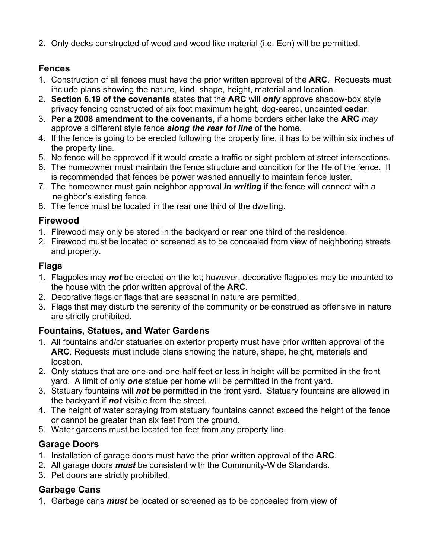2. Only decks constructed of wood and wood like material (i.e. Eon) will be permitted.

## **Fences**

- 1. Construction of all fences must have the prior written approval of the **ARC**. Requests must include plans showing the nature, kind, shape, height, material and location.
- 2. **Section 6.19 of the covenants** states that the **ARC** will *only* approve shadow-box style privacy fencing constructed of six foot maximum height, dog-eared, unpainted **cedar**.
- 3. **Per a 2008 amendment to the covenants,** if a home borders either lake the **ARC** *may* approve a different style fence *along the rear lot line* of the home.
- 4. If the fence is going to be erected following the property line, it has to be within six inches of the property line.
- 5. No fence will be approved if it would create a traffic or sight problem at street intersections.
- 6. The homeowner must maintain the fence structure and condition for the life of the fence. It is recommended that fences be power washed annually to maintain fence luster.
- 7. The homeowner must gain neighbor approval *in writing* if the fence will connect with a neighbor's existing fence.
- 8. The fence must be located in the rear one third of the dwelling.

## **Firewood**

- 1. Firewood may only be stored in the backyard or rear one third of the residence.
- 2. Firewood must be located or screened as to be concealed from view of neighboring streets and property.

# **Flags**

- 1. Flagpoles may *not* be erected on the lot; however, decorative flagpoles may be mounted to the house with the prior written approval of the **ARC**.
- 2. Decorative flags or flags that are seasonal in nature are permitted.
- 3. Flags that may disturb the serenity of the community or be construed as offensive in nature are strictly prohibited.

# **Fountains, Statues, and Water Gardens**

- 1. All fountains and/or statuaries on exterior property must have prior written approval of the **ARC**. Requests must include plans showing the nature, shape, height, materials and location.
- 2. Only statues that are one-and-one-half feet or less in height will be permitted in the front yard. A limit of only *one* statue per home will be permitted in the front yard.
- 3. Statuary fountains will *not* be permitted in the front yard. Statuary fountains are allowed in the backyard if *not* visible from the street.
- 4. The height of water spraying from statuary fountains cannot exceed the height of the fence or cannot be greater than six feet from the ground.
- 5. Water gardens must be located ten feet from any property line.

# **Garage Doors**

- 1. Installation of garage doors must have the prior written approval of the **ARC**.
- 2. All garage doors *must* be consistent with the Community-Wide Standards.
- 3. Pet doors are strictly prohibited.

# **Garbage Cans**

1. Garbage cans *must* be located or screened as to be concealed from view of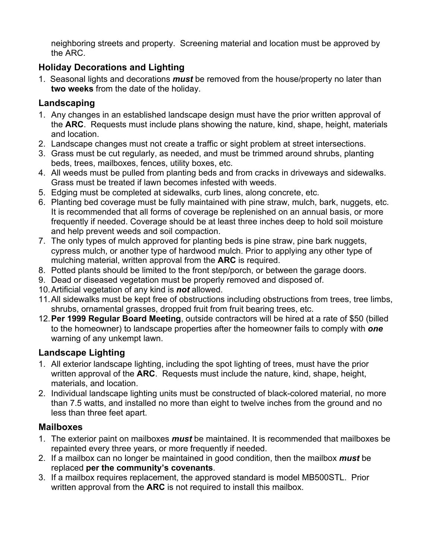neighboring streets and property. Screening material and location must be approved by the ARC.

## **Holiday Decorations and Lighting**

1. Seasonal lights and decorations *must* be removed from the house/property no later than **two weeks** from the date of the holiday.

## **Landscaping**

- 1. Any changes in an established landscape design must have the prior written approval of the **ARC**. Requests must include plans showing the nature, kind, shape, height, materials and location.
- 2. Landscape changes must not create a traffic or sight problem at street intersections.
- 3. Grass must be cut regularly, as needed, and must be trimmed around shrubs, planting beds, trees, mailboxes, fences, utility boxes, etc.
- 4. All weeds must be pulled from planting beds and from cracks in driveways and sidewalks. Grass must be treated if lawn becomes infested with weeds.
- 5. Edging must be completed at sidewalks, curb lines, along concrete, etc.
- 6. Planting bed coverage must be fully maintained with pine straw, mulch, bark, nuggets, etc. It is recommended that all forms of coverage be replenished on an annual basis, or more frequently if needed. Coverage should be at least three inches deep to hold soil moisture and help prevent weeds and soil compaction.
- 7. The only types of mulch approved for planting beds is pine straw, pine bark nuggets, cypress mulch, or another type of hardwood mulch. Prior to applying any other type of mulching material, written approval from the **ARC** is required.
- 8. Potted plants should be limited to the front step/porch, or between the garage doors.
- 9. Dead or diseased vegetation must be properly removed and disposed of.
- 10.Artificial vegetation of any kind is *not* allowed.
- 11.All sidewalks must be kept free of obstructions including obstructions from trees, tree limbs, shrubs, ornamental grasses, dropped fruit from fruit bearing trees, etc.
- 12.**Per 1999 Regular Board Meeting**, outside contractors will be hired at a rate of \$50 (billed to the homeowner) to landscape properties after the homeowner fails to comply with *one* warning of any unkempt lawn.

# **Landscape Lighting**

- 1. All exterior landscape lighting, including the spot lighting of trees, must have the prior written approval of the **ARC**. Requests must include the nature, kind, shape, height, materials, and location.
- 2. Individual landscape lighting units must be constructed of black-colored material, no more than 7.5 watts, and installed no more than eight to twelve inches from the ground and no less than three feet apart.

# **Mailboxes**

- 1. The exterior paint on mailboxes *must* be maintained. It is recommended that mailboxes be repainted every three years, or more frequently if needed.
- 2. If a mailbox can no longer be maintained in good condition, then the mailbox *must* be replaced **per the community's covenants**.
- 3. If a mailbox requires replacement, the approved standard is model MB500STL. Prior written approval from the **ARC** is not required to install this mailbox.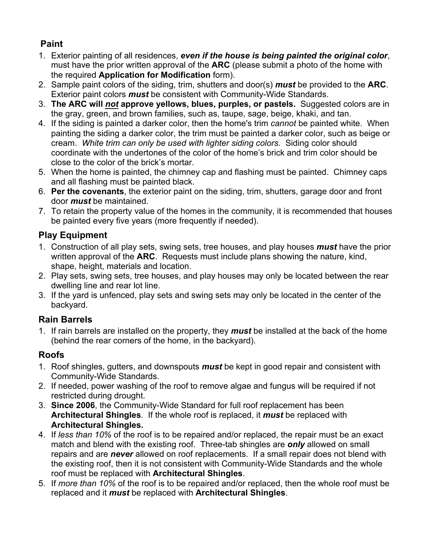# **Paint**

- 1. Exterior painting of all residences, *even if the house is being painted the original color*, must have the prior written approval of the **ARC** (please submit a photo of the home with the required **Application for Modification** form).
- 2. Sample paint colors of the siding, trim, shutters and door(s) *must* be provided to the **ARC**. Exterior paint colors *must* be consistent with Community-Wide Standards.
- 3. **The ARC will** *not* **approve yellows, blues, purples, or pastels.** Suggested colors are in the gray, green, and brown families, such as, taupe, sage, beige, khaki, and tan.
- 4. If the siding is painted a darker color, then the home's trim *cannot* be painted white. When painting the siding a darker color, the trim must be painted a darker color, such as beige or cream. *White trim can only be used with lighter siding colors.* Siding color should coordinate with the undertones of the color of the home's brick and trim color should be close to the color of the brick's mortar.
- 5. When the home is painted, the chimney cap and flashing must be painted. Chimney caps and all flashing must be painted black.
- 6. **Per the covenants**, the exterior paint on the siding, trim, shutters, garage door and front door *must* be maintained.
- 7. To retain the property value of the homes in the community, it is recommended that houses be painted every five years (more frequently if needed).

## **Play Equipment**

- 1. Construction of all play sets, swing sets, tree houses, and play houses *must* have the prior written approval of the **ARC**. Requests must include plans showing the nature, kind, shape, height, materials and location.
- 2. Play sets, swing sets, tree houses, and play houses may only be located between the rear dwelling line and rear lot line.
- 3. If the yard is unfenced, play sets and swing sets may only be located in the center of the backyard.

# **Rain Barrels**

1. If rain barrels are installed on the property, they *must* be installed at the back of the home (behind the rear corners of the home, in the backyard).

# **Roofs**

- 1. Roof shingles, gutters, and downspouts *must* be kept in good repair and consistent with Community-Wide Standards.
- 2. If needed, power washing of the roof to remove algae and fungus will be required if not restricted during drought.
- 3. **Since 2006**, the Community-Wide Standard for full roof replacement has been **Architectural Shingles**. If the whole roof is replaced, it *must* be replaced with **Architectural Shingles.**
- 4. If *less than 10%* of the roof is to be repaired and/or replaced, the repair must be an exact match and blend with the existing roof. Three-tab shingles are *only* allowed on small repairs and are *never* allowed on roof replacements. If a small repair does not blend with the existing roof, then it is not consistent with Community-Wide Standards and the whole roof must be replaced with **Architectural Shingles**.
- 5. If *more than 10%* of the roof is to be repaired and/or replaced, then the whole roof must be replaced and it *must* be replaced with **Architectural Shingles**.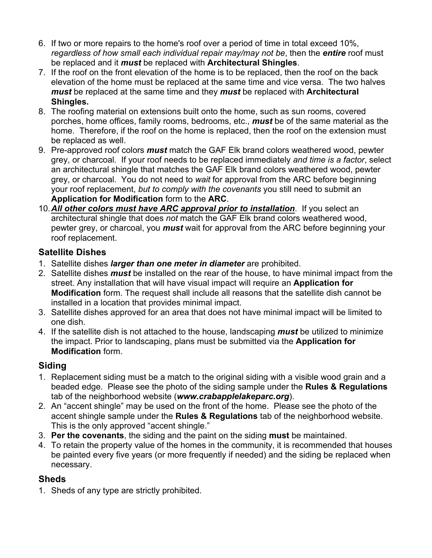- 6. If two or more repairs to the home's roof over a period of time in total exceed 10%, *regardless of how small each individual repair may/may not be*, then the *entire* roof must be replaced and it *must* be replaced with **Architectural Shingles**.
- 7. If the roof on the front elevation of the home is to be replaced, then the roof on the back elevation of the home must be replaced at the same time and vice versa. The two halves *must* be replaced at the same time and they *must* be replaced with **Architectural Shingles.**
- 8. The roofing material on extensions built onto the home, such as sun rooms, covered porches, home offices, family rooms, bedrooms, etc., *must* be of the same material as the home. Therefore, if the roof on the home is replaced, then the roof on the extension must be replaced as well.
- 9. Pre-approved roof colors *must* match the GAF Elk brand colors weathered wood, pewter grey, or charcoal*.* If your roof needs to be replaced immediately *and time is a factor*, select an architectural shingle that matches the GAF Elk brand colors weathered wood, pewter grey, or charcoal. You do not need to *wait* for approval from the ARC before beginning your roof replacement, *but to comply with the covenants* you still need to submit an **Application for Modification** form to the **ARC**.
- 10.*All other colors must have ARC approval prior to installation*. If you select an architectural shingle that does *not* match the GAF Elk brand colors weathered wood, pewter grey, or charcoal, you *must* wait for approval from the ARC before beginning your roof replacement.

#### **Satellite Dishes**

- 1. Satellite dishes *larger than one meter in diameter* are prohibited.
- 2. Satellite dishes *must* be installed on the rear of the house, to have minimal impact from the street. Any installation that will have visual impact will require an **Application for Modification** form. The request shall include all reasons that the satellite dish cannot be installed in a location that provides minimal impact.
- 3. Satellite dishes approved for an area that does not have minimal impact will be limited to one dish.
- 4. If the satellite dish is not attached to the house, landscaping *must* be utilized to minimize the impact. Prior to landscaping, plans must be submitted via the **Application for Modification** form.

# **Siding**

- 1. Replacement siding must be a match to the original siding with a visible wood grain and a beaded edge. Please see the photo of the siding sample under the **Rules & Regulations** tab of the neighborhood website (*www.crabapplelakeparc.org*).
- 2. An "accent shingle" may be used on the front of the home. Please see the photo of the accent shingle sample under the **Rules & Regulations** tab of the neighborhood website. This is the only approved "accent shingle."
- 3. **Per the covenants**, the siding and the paint on the siding **must** be maintained.
- 4. To retain the property value of the homes in the community, it is recommended that houses be painted every five years (or more frequently if needed) and the siding be replaced when necessary.

#### **Sheds**

1. Sheds of any type are strictly prohibited.